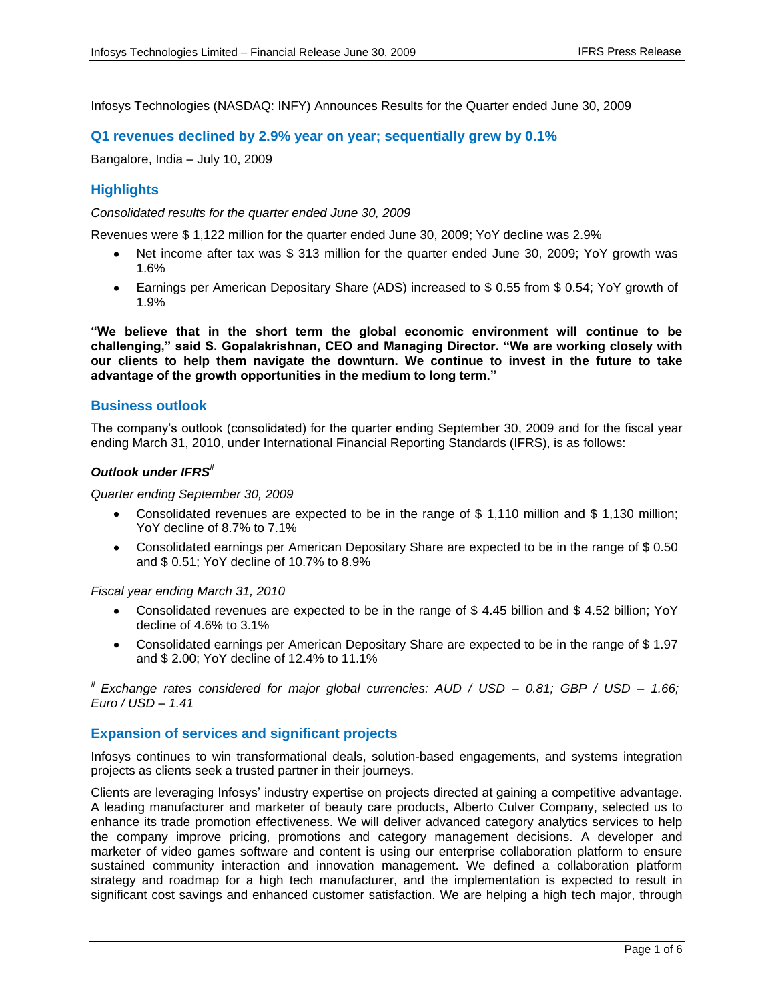Infosys Technologies (NASDAQ: INFY) Announces Results for the Quarter ended June 30, 2009

# **Q1 revenues declined by 2.9% year on year; sequentially grew by 0.1%**

Bangalore, India – July 10, 2009

# **Highlights**

*Consolidated results for the quarter ended June 30, 2009*

Revenues were \$ 1,122 million for the quarter ended June 30, 2009; YoY decline was 2.9%

- Net income after tax was \$ 313 million for the quarter ended June 30, 2009; YoY growth was 1.6%
- Earnings per American Depositary Share (ADS) increased to \$ 0.55 from \$ 0.54; YoY growth of 1.9%

**"We believe that in the short term the global economic environment will continue to be challenging," said S. Gopalakrishnan, CEO and Managing Director. "We are working closely with our clients to help them navigate the downturn. We continue to invest in the future to take advantage of the growth opportunities in the medium to long term."**

# **Business outlook**

The company's outlook (consolidated) for the quarter ending September 30, 2009 and for the fiscal year ending March 31, 2010, under International Financial Reporting Standards (IFRS), is as follows:

# *Outlook under IFRS#*

*Quarter ending September 30, 2009*

- Consolidated revenues are expected to be in the range of \$ 1,110 million and \$ 1,130 million; YoY decline of 8.7% to 7.1%
- Consolidated earnings per American Depositary Share are expected to be in the range of \$ 0.50 and \$ 0.51; YoY decline of 10.7% to 8.9%

*Fiscal year ending March 31, 2010*

- Consolidated revenues are expected to be in the range of \$ 4.45 billion and \$ 4.52 billion; YoY  $\bullet$ decline of 4.6% to 3.1%
- Consolidated earnings per American Depositary Share are expected to be in the range of \$ 1.97 and \$ 2.00; YoY decline of 12.4% to 11.1%

*# Exchange rates considered for major global currencies: AUD / USD – 0.81; GBP / USD – 1.66; Euro / USD – 1.41*

# **Expansion of services and significant projects**

Infosys continues to win transformational deals, solution-based engagements, and systems integration projects as clients seek a trusted partner in their journeys.

Clients are leveraging Infosys' industry expertise on projects directed at gaining a competitive advantage. A leading manufacturer and marketer of beauty care products, Alberto Culver Company, selected us to enhance its trade promotion effectiveness. We will deliver advanced category analytics services to help the company improve pricing, promotions and category management decisions. A developer and marketer of video games software and content is using our enterprise collaboration platform to ensure sustained community interaction and innovation management. We defined a collaboration platform strategy and roadmap for a high tech manufacturer, and the implementation is expected to result in significant cost savings and enhanced customer satisfaction. We are helping a high tech major, through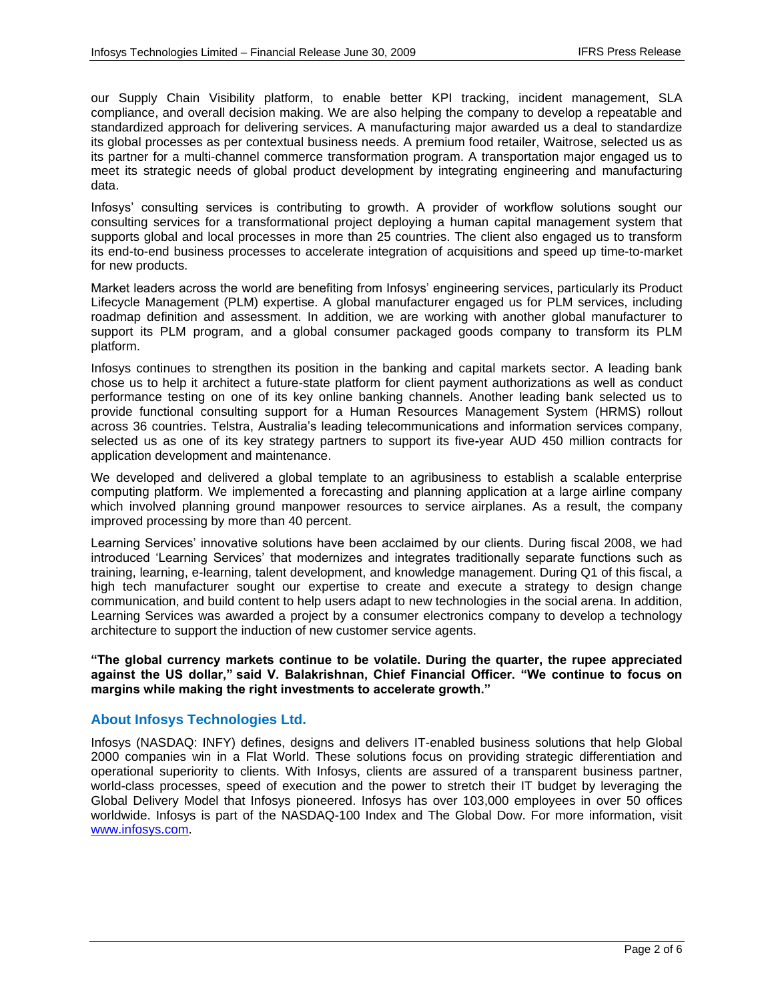our Supply Chain Visibility platform, to enable better KPI tracking, incident management, SLA compliance, and overall decision making. We are also helping the company to develop a repeatable and standardized approach for delivering services. A manufacturing major awarded us a deal to standardize its global processes as per contextual business needs. A premium food retailer, Waitrose, selected us as its partner for a multi-channel commerce transformation program. A transportation major engaged us to meet its strategic needs of global product development by integrating engineering and manufacturing data.

Infosys' consulting services is contributing to growth. A provider of workflow solutions sought our consulting services for a transformational project deploying a human capital management system that supports global and local processes in more than 25 countries. The client also engaged us to transform its end-to-end business processes to accelerate integration of acquisitions and speed up time-to-market for new products.

Market leaders across the world are benefiting from Infosys' engineering services, particularly its Product Lifecycle Management (PLM) expertise. A global manufacturer engaged us for PLM services, including roadmap definition and assessment. In addition, we are working with another global manufacturer to support its PLM program, and a global consumer packaged goods company to transform its PLM platform.

Infosys continues to strengthen its position in the banking and capital markets sector. A leading bank chose us to help it architect a future-state platform for client payment authorizations as well as conduct performance testing on one of its key online banking channels. Another leading bank selected us to provide functional consulting support for a Human Resources Management System (HRMS) rollout across 36 countries. Telstra, Australia's leading telecommunications and information services company, selected us as one of its key strategy partners to support its five**-**year AUD 450 million contracts for application development and maintenance.

We developed and delivered a global template to an agribusiness to establish a scalable enterprise computing platform. We implemented a forecasting and planning application at a large airline company which involved planning ground manpower resources to service airplanes. As a result, the company improved processing by more than 40 percent.

Learning Services' innovative solutions have been acclaimed by our clients. During fiscal 2008, we had introduced 'Learning Services' that modernizes and integrates traditionally separate functions such as training, learning, e-learning, talent development, and knowledge management. During Q1 of this fiscal, a high tech manufacturer sought our expertise to create and execute a strategy to design change communication, and build content to help users adapt to new technologies in the social arena. In addition, Learning Services was awarded a project by a consumer electronics company to develop a technology architecture to support the induction of new customer service agents.

**"The global currency markets continue to be volatile. During the quarter, the rupee appreciated against the US dollar," said V. Balakrishnan, Chief Financial Officer. "We continue to focus on margins while making the right investments to accelerate growth."**

# **About Infosys Technologies Ltd.**

Infosys (NASDAQ: INFY) defines, designs and delivers IT-enabled business solutions that help Global 2000 companies win in a Flat World. These solutions focus on providing strategic differentiation and operational superiority to clients. With Infosys, clients are assured of a transparent business partner, world-class processes, speed of execution and the power to stretch their IT budget by leveraging the Global Delivery Model that Infosys pioneered. Infosys has over 103,000 employees in over 50 offices worldwide. Infosys is part of the NASDAQ-100 Index and The Global Dow. For more information, visit [www.infosys.com.](http://www.infosys.com/)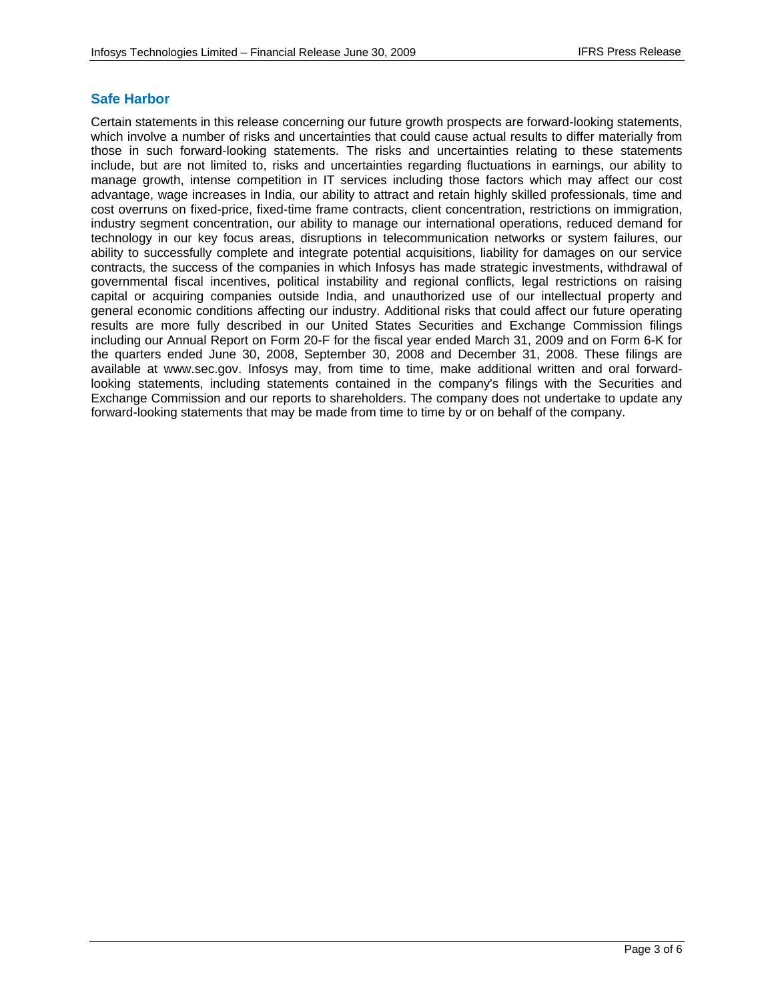## **Safe Harbor**

Certain statements in this release concerning our future growth prospects are forward-looking statements, which involve a number of risks and uncertainties that could cause actual results to differ materially from those in such forward-looking statements. The risks and uncertainties relating to these statements include, but are not limited to, risks and uncertainties regarding fluctuations in earnings, our ability to manage growth, intense competition in IT services including those factors which may affect our cost advantage, wage increases in India, our ability to attract and retain highly skilled professionals, time and cost overruns on fixed-price, fixed-time frame contracts, client concentration, restrictions on immigration, industry segment concentration, our ability to manage our international operations, reduced demand for technology in our key focus areas, disruptions in telecommunication networks or system failures, our ability to successfully complete and integrate potential acquisitions, liability for damages on our service contracts, the success of the companies in which Infosys has made strategic investments, withdrawal of governmental fiscal incentives, political instability and regional conflicts, legal restrictions on raising capital or acquiring companies outside India, and unauthorized use of our intellectual property and general economic conditions affecting our industry. Additional risks that could affect our future operating results are more fully described in our United States Securities and Exchange Commission filings including our Annual Report on Form 20-F for the fiscal year ended March 31, 2009 and on Form 6-K for the quarters ended June 30, 2008, September 30, 2008 and December 31, 2008. These filings are available at www.sec.gov. Infosys may, from time to time, make additional written and oral forwardlooking statements, including statements contained in the company's filings with the Securities and Exchange Commission and our reports to shareholders. The company does not undertake to update any forward-looking statements that may be made from time to time by or on behalf of the company.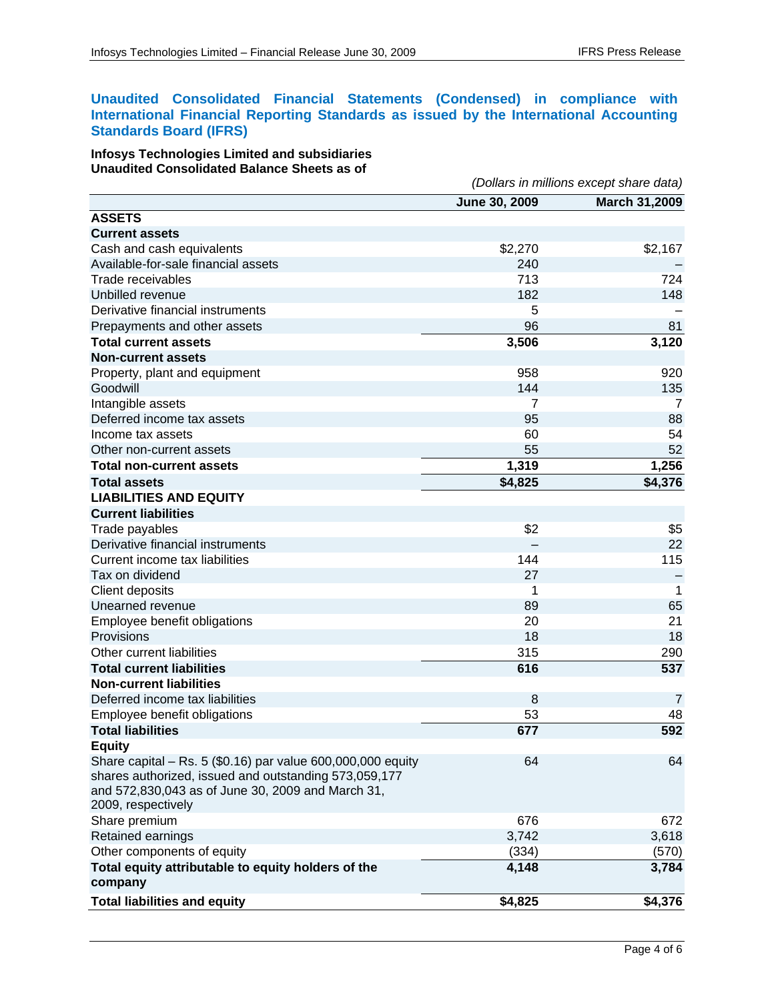# **Unaudited Consolidated Financial Statements (Condensed) in compliance with International Financial Reporting Standards as issued by the International Accounting Standards Board (IFRS)**

## **Infosys Technologies Limited and subsidiaries Unaudited Consolidated Balance Sheets as of**

|                                                                         | (Dollars in millions except share data) |               |  |
|-------------------------------------------------------------------------|-----------------------------------------|---------------|--|
|                                                                         | June 30, 2009                           | March 31,2009 |  |
| <b>ASSETS</b>                                                           |                                         |               |  |
| <b>Current assets</b>                                                   |                                         |               |  |
| Cash and cash equivalents                                               | \$2,270                                 | \$2,167       |  |
| Available-for-sale financial assets                                     | 240                                     |               |  |
| Trade receivables                                                       | 713                                     | 724           |  |
| Unbilled revenue                                                        | 182                                     | 148           |  |
| Derivative financial instruments                                        | 5                                       |               |  |
| Prepayments and other assets                                            | 96                                      | 81            |  |
| <b>Total current assets</b>                                             | 3,506                                   | 3,120         |  |
| <b>Non-current assets</b>                                               |                                         |               |  |
| Property, plant and equipment                                           | 958                                     | 920           |  |
| Goodwill                                                                | 144                                     | 135           |  |
| Intangible assets                                                       | $\overline{7}$                          | 7             |  |
| Deferred income tax assets                                              | 95                                      | 88            |  |
| Income tax assets                                                       | 60                                      | 54            |  |
| Other non-current assets                                                | 55                                      | 52            |  |
| <b>Total non-current assets</b>                                         | 1,319                                   | 1,256         |  |
| <b>Total assets</b>                                                     | \$4,825                                 | \$4,376       |  |
| <b>LIABILITIES AND EQUITY</b>                                           |                                         |               |  |
| <b>Current liabilities</b>                                              |                                         |               |  |
| Trade payables                                                          | \$2                                     | \$5           |  |
| Derivative financial instruments                                        |                                         | 22            |  |
| Current income tax liabilities                                          | 144                                     | 115           |  |
| Tax on dividend                                                         | 27                                      |               |  |
| Client deposits                                                         | 1                                       | 1             |  |
| Unearned revenue                                                        | 89                                      | 65            |  |
| Employee benefit obligations                                            | 20                                      | 21            |  |
| Provisions                                                              | 18                                      | 18            |  |
| Other current liabilities                                               | 315                                     | 290           |  |
| <b>Total current liabilities</b>                                        | 616                                     | 537           |  |
| <b>Non-current liabilities</b>                                          |                                         |               |  |
| Deferred income tax liabilities                                         | 8                                       | 7             |  |
| Employee benefit obligations                                            | 53                                      | 48            |  |
| <b>Total liabilities</b>                                                | 677                                     | 592           |  |
| <b>Equity</b>                                                           |                                         |               |  |
| Share capital – Rs. 5 (\$0.16) par value 600,000,000 equity             | 64                                      | 64            |  |
| shares authorized, issued and outstanding 573,059,177                   |                                         |               |  |
| and 572,830,043 as of June 30, 2009 and March 31,<br>2009, respectively |                                         |               |  |
| Share premium                                                           | 676                                     | 672           |  |
| Retained earnings                                                       | 3,742                                   | 3,618         |  |
| Other components of equity                                              | (334)                                   | (570)         |  |
| Total equity attributable to equity holders of the                      | 4,148                                   | 3,784         |  |
| company                                                                 |                                         |               |  |
| <b>Total liabilities and equity</b>                                     | \$4,825                                 | \$4,376       |  |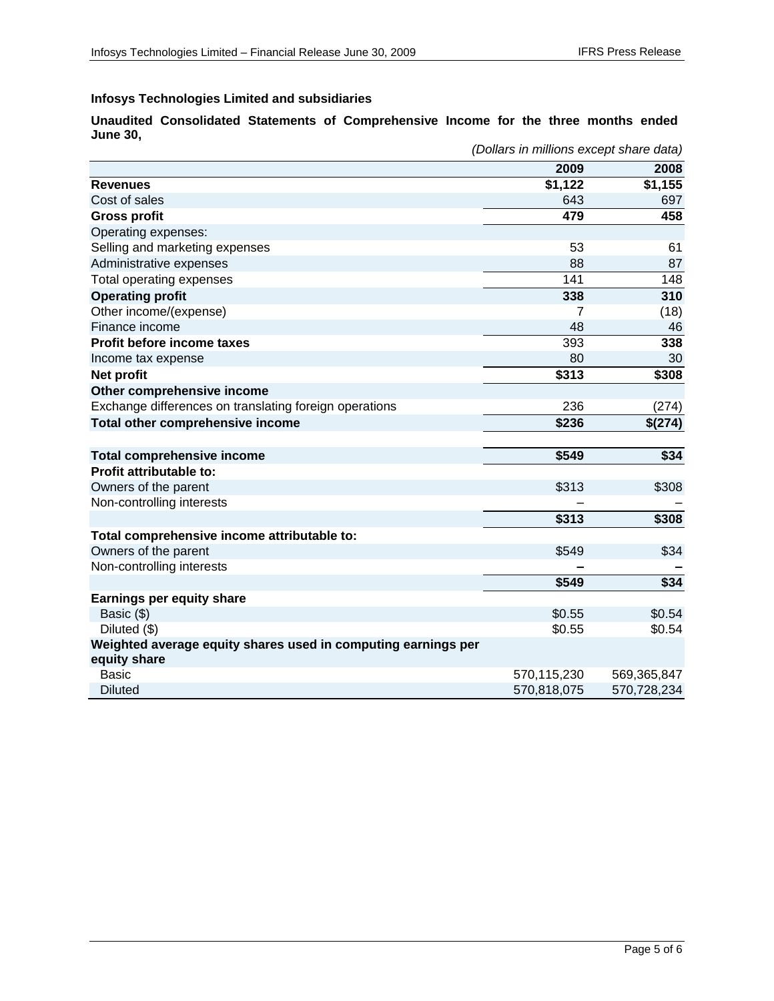# **Infosys Technologies Limited and subsidiaries**

|                 |  | Unaudited Consolidated Statements of Comprehensive Income for the three months ended |  |  |                                         |  |
|-----------------|--|--------------------------------------------------------------------------------------|--|--|-----------------------------------------|--|
| <b>June 30,</b> |  |                                                                                      |  |  |                                         |  |
|                 |  |                                                                                      |  |  | (Dollars in millions except share data) |  |

|                                                               | $D$ <i>onars in minoris except share data)</i> |             |  |
|---------------------------------------------------------------|------------------------------------------------|-------------|--|
|                                                               | 2009                                           | 2008        |  |
| <b>Revenues</b>                                               | \$1,122                                        | \$1,155     |  |
| Cost of sales                                                 | 643                                            | 697         |  |
| <b>Gross profit</b>                                           | 479                                            | 458         |  |
| Operating expenses:                                           |                                                |             |  |
| Selling and marketing expenses                                | 53                                             | 61          |  |
| Administrative expenses                                       | 88                                             | 87          |  |
| Total operating expenses                                      | 141                                            | 148         |  |
| <b>Operating profit</b>                                       | 338                                            | 310         |  |
| Other income/(expense)                                        | 7                                              | (18)        |  |
| Finance income                                                | 48                                             | 46          |  |
| Profit before income taxes                                    | 393                                            | 338         |  |
| Income tax expense                                            | 80                                             | 30          |  |
| <b>Net profit</b>                                             | \$313                                          | \$308       |  |
| Other comprehensive income                                    |                                                |             |  |
| Exchange differences on translating foreign operations        | 236                                            | (274)       |  |
| Total other comprehensive income                              | \$236                                          | \$(274)     |  |
|                                                               |                                                |             |  |
| <b>Total comprehensive income</b>                             | \$549                                          | \$34        |  |
| <b>Profit attributable to:</b>                                |                                                |             |  |
| Owners of the parent                                          | \$313                                          | \$308       |  |
| Non-controlling interests                                     |                                                |             |  |
|                                                               | \$313                                          | \$308       |  |
| Total comprehensive income attributable to:                   |                                                |             |  |
| Owners of the parent                                          | \$549                                          | \$34        |  |
| Non-controlling interests                                     |                                                |             |  |
|                                                               | \$549                                          | \$34        |  |
| <b>Earnings per equity share</b>                              |                                                |             |  |
| Basic (\$)                                                    | \$0.55                                         | \$0.54      |  |
| Diluted (\$)                                                  | \$0.55                                         | \$0.54      |  |
| Weighted average equity shares used in computing earnings per |                                                |             |  |
| equity share                                                  |                                                |             |  |
| <b>Basic</b>                                                  | 570,115,230                                    | 569,365,847 |  |
| <b>Diluted</b>                                                | 570,818,075                                    | 570,728,234 |  |